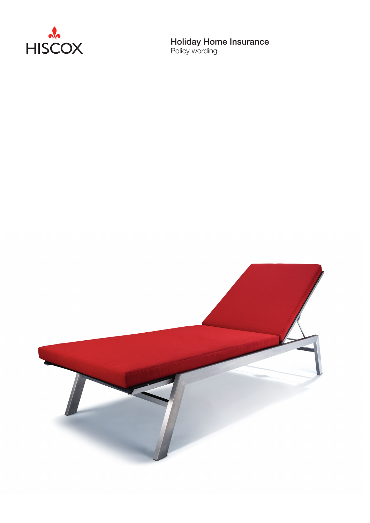

Holiday Home Insurance

Policy wording

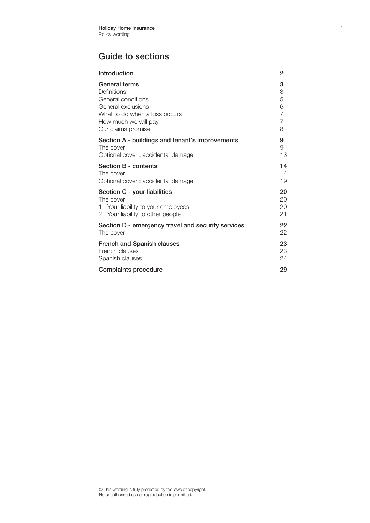## Guide to sections

| Introduction                                       | 2              |
|----------------------------------------------------|----------------|
| General terms                                      | 3              |
| Definitions                                        | 3              |
| General conditions                                 | 5              |
| General exclusions                                 | 6              |
| What to do when a loss occurs                      | $\overline{7}$ |
| How much we will pay                               | $\overline{7}$ |
| Our claims promise                                 | 8              |
| Section A - buildings and tenant's improvements    | 9              |
| The cover                                          | 9              |
| Optional cover: accidental damage                  | 13             |
| Section B - contents                               | 14             |
| The cover                                          | 14             |
| Optional cover: accidental damage                  | 19             |
| Section C - your liabilities                       | 20             |
| The cover                                          | 20             |
| 1. Your liability to your employees                | 20             |
| 2. Your liability to other people                  | 21             |
| Section D - emergency travel and security services | 22             |
| The cover                                          | 22             |
| <b>French and Spanish clauses</b>                  | 23             |
| French clauses                                     | 23             |
| Spanish clauses                                    | 24             |
| <b>Complaints procedure</b>                        | 29             |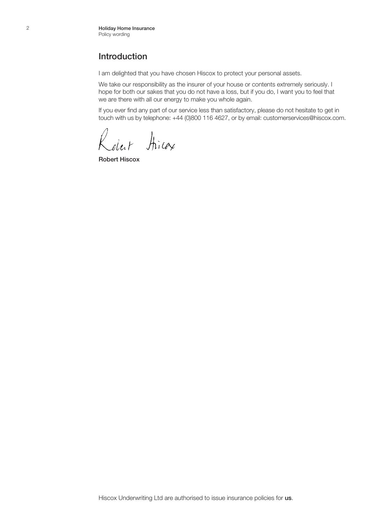#### Introduction

I am delighted that you have chosen Hiscox to protect your personal assets.

We take our responsibility as the insurer of your house or contents extremely seriously. I hope for both our sakes that you do not have a loss, but if you do, I want you to feel that we are there with all our energy to make you whole again.

If you ever find any part of our service less than satisfactory, please do not hesitate to get in touch with us by telephone: +44 (0)800 116 4627, or by email: customerservices@hiscox.com.

Koleit Hirax

Robert Hiscox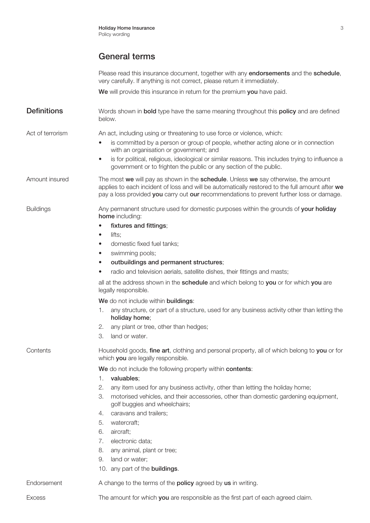Please read this insurance document, together with any endorsements and the schedule. very carefully. If anything is not correct, please return it immediately.

We will provide this insurance in return for the premium you have paid.

**Definitions** Words shown in **bold** type have the same meaning throughout this **policy** and are defined below.

Act of terrorism An act, including using or threatening to use force or violence, which:

- is committed by a person or group of people, whether acting alone or in connection with an organisation or government; and
- is for political, religious, ideological or similar reasons. This includes trying to influence a government or to frighten the public or any section of the public.

Amount insured The most we will pay as shown in the **schedule**. Unless we say otherwise, the amount applies to each incident of loss and will be automatically restored to the full amount after we pay a loss provided you carry out our recommendations to prevent further loss or damage.

Buildings **Any permanent structure used for domestic purposes within the grounds of your holiday** home including:

- fixtures and fittings;
- lifts:
- domestic fixed fuel tanks;
- swimming pools;
- outbuildings and permanent structures;
- radio and television aerials, satellite dishes, their fittings and masts;

all at the address shown in the **schedule** and which belong to **you** or for which **you** are legally responsible.

We do not include within buildings:

- 1. any structure, or part of a structure, used for any business activity other than letting the holiday home;
- 2. any plant or tree, other than hedges;
- 3. land or water.

Contents Household goods, **fine art**, clothing and personal property, all of which belong to **you** or for which **you** are legally responsible.

We do not include the following property within contents:

- 1. valuables;
- 2. any item used for any business activity, other than letting the holiday home;
- 3. motorised vehicles, and their accessories, other than domestic gardening equipment, golf buggies and wheelchairs;
- 4. caravans and trailers;
- 5. watercraft;
- 6. aircraft;
- 7. electronic data;
- 8. any animal, plant or tree;
- 9. land or water;
- 10. any part of the **buildings**.

Endorsement A change to the terms of the **policy** agreed by us in writing.

Excess The amount for which you are responsible as the first part of each agreed claim.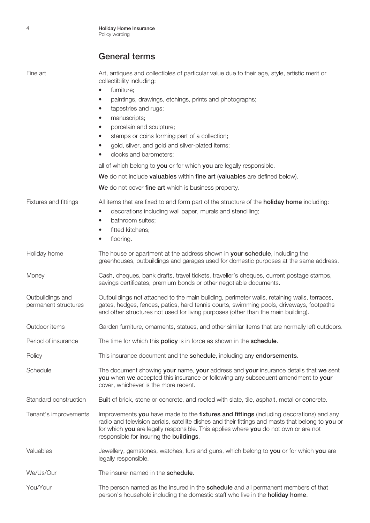| Fine art                                 | Art, antiques and collectibles of particular value due to their age, style, artistic merit or<br>collectibility including:                                                                                                                                                                                                              |  |  |
|------------------------------------------|-----------------------------------------------------------------------------------------------------------------------------------------------------------------------------------------------------------------------------------------------------------------------------------------------------------------------------------------|--|--|
|                                          | furniture;<br>$\bullet$<br>paintings, drawings, etchings, prints and photographs;<br>$\bullet$<br>tapestries and rugs;<br>$\bullet$<br>manuscripts;<br>$\bullet$<br>porcelain and sculpture;<br>$\bullet$<br>stamps or coins forming part of a collection;<br>$\bullet$<br>gold, silver, and gold and silver-plated items;<br>$\bullet$ |  |  |
|                                          | clocks and barometers;<br>$\bullet$                                                                                                                                                                                                                                                                                                     |  |  |
|                                          | all of which belong to you or for which you are legally responsible.<br>We do not include valuables within fine art (valuables are defined below).                                                                                                                                                                                      |  |  |
|                                          | We do not cover fine art which is business property.                                                                                                                                                                                                                                                                                    |  |  |
| Fixtures and fittings                    | All items that are fixed to and form part of the structure of the <b>holiday home</b> including:<br>decorations including wall paper, murals and stencilling;<br>$\bullet$<br>bathroom suites;<br>$\bullet$<br>fitted kitchens;<br>$\bullet$<br>flooring.<br>$\bullet$                                                                  |  |  |
| Holiday home                             | The house or apartment at the address shown in your schedule, including the<br>greenhouses, outbuildings and garages used for domestic purposes at the same address.                                                                                                                                                                    |  |  |
| Money                                    | Cash, cheques, bank drafts, travel tickets, traveller's cheques, current postage stamps,<br>savings certificates, premium bonds or other negotiable documents.                                                                                                                                                                          |  |  |
| Outbuildings and<br>permanent structures | Outbuildings not attached to the main building, perimeter walls, retaining walls, terraces,<br>gates, hedges, fences, patios, hard tennis courts, swimming pools, driveways, footpaths<br>and other structures not used for living purposes (other than the main building).                                                             |  |  |
| Outdoor items                            | Garden furniture, ornaments, statues, and other similar items that are normally left outdoors.                                                                                                                                                                                                                                          |  |  |
| Period of insurance                      | The time for which this policy is in force as shown in the schedule.                                                                                                                                                                                                                                                                    |  |  |
| Policy                                   | This insurance document and the schedule, including any endorsements.                                                                                                                                                                                                                                                                   |  |  |
| Schedule                                 | The document showing your name, your address and your insurance details that we sent<br>you when we accepted this insurance or following any subsequent amendment to your<br>cover, whichever is the more recent.                                                                                                                       |  |  |
| Standard construction                    | Built of brick, stone or concrete, and roofed with slate, tile, asphalt, metal or concrete.                                                                                                                                                                                                                                             |  |  |
| Tenant's improvements                    | Improvements you have made to the fixtures and fittings (including decorations) and any<br>radio and television aerials, satellite dishes and their fittings and masts that belong to you or<br>for which you are legally responsible. This applies where you do not own or are not<br>responsible for insuring the <b>buildings</b> .  |  |  |
| Valuables                                | Jewellery, gemstones, watches, furs and guns, which belong to you or for which you are<br>legally responsible.                                                                                                                                                                                                                          |  |  |
| We/Us/Our                                | The insurer named in the schedule.                                                                                                                                                                                                                                                                                                      |  |  |
| You/Your                                 | The person named as the insured in the <b>schedule</b> and all permanent members of that<br>person's household including the domestic staff who live in the holiday home.                                                                                                                                                               |  |  |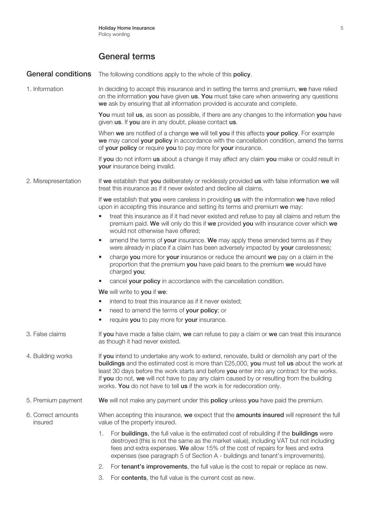General conditions The following conditions apply to the whole of this policy.

1. Information In deciding to accept this insurance and in setting the terms and premium, we have relied on the information **you** have given **us. You** must take care when answering any questions we ask by ensuring that all information provided is accurate and complete.

> You must tell us, as soon as possible, if there are any changes to the information you have given us. If you are in any doubt, please contact us.

> When we are notified of a change we will tell you if this affects your policy. For example we may cancel your policy in accordance with the cancellation condition, amend the terms of your policy or require you to pay more for your insurance.

If you do not inform us about a change it may affect any claim you make or could result in your insurance being invalid.

#### 2. Misrepresentation If we establish that you deliberately or recklessly provided us with false information we will treat this insurance as if it never existed and decline all claims.

If we establish that you were careless in providing us with the information we have relied upon in accepting this insurance and setting its terms and premium we may:

- treat this insurance as if it had never existed and refuse to pay all claims and return the premium paid. We will only do this if we provided you with insurance cover which we would not otherwise have offered;
- amend the terms of your insurance. We may apply these amended terms as if they were already in place if a claim has been adversely impacted by your carelessness;
- charge you more for your insurance or reduce the amount we pay on a claim in the proportion that the premium you have paid bears to the premium we would have charged vou:
- cancel your policy in accordance with the cancellation condition.

We will write to you if we:

- intend to treat this insurance as if it never existed;
- need to amend the terms of your policy; or
- require you to pay more for your insurance.
- 3. False claims If you have made a false claim, we can refuse to pay a claim or we can treat this insurance as though it had never existed.
- 4. Building works If you intend to undertake any work to extend, renovate, build or demolish any part of the buildings and the estimated cost is more than £25,000, you must tell us about the work at least 30 days before the work starts and before **you** enter into any contract for the works. If you do not, we will not have to pay any claim caused by or resulting from the building works. You do not have to tell us if the work is for redecoration only.
- 5. Premium payment We will not make any payment under this policy unless you have paid the premium.
- 6. Correct amounts When accepting this insurance, we expect that the amounts insured will represent the full insured value of the property insured.
	- 1. For buildings, the full value is the estimated cost of rebuilding if the buildings were destroyed (this is not the same as the market value), including VAT but not including fees and extra expenses. We allow 15% of the cost of repairs for fees and extra expenses (see paragraph 5 of Section A - buildings and tenant's improvements).
	- 2. For tenant's improvements, the full value is the cost to repair or replace as new.
	- 3. For contents, the full value is the current cost as new.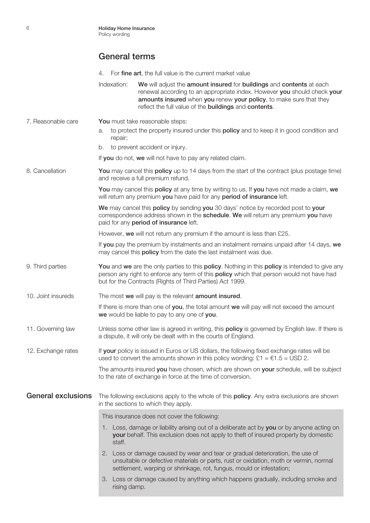|                           | For fine art, the full value is the current market value<br>4.                                                                                                                                                                                                                                 |
|---------------------------|------------------------------------------------------------------------------------------------------------------------------------------------------------------------------------------------------------------------------------------------------------------------------------------------|
|                           | Indexation:<br>We will adjust the amount insured for buildings and contents at each<br>renewal according to an appropriate index. However you should check your<br>amounts insured when you renew your policy, to make sure that they<br>reflect the full value of the buildings and contents. |
| 7. Reasonable care        | You must take reasonable steps:                                                                                                                                                                                                                                                                |
|                           | to protect the property insured under this <b>policy</b> and to keep it in good condition and<br>a.<br>repair;                                                                                                                                                                                 |
|                           | to prevent accident or injury.<br>b.                                                                                                                                                                                                                                                           |
|                           | If you do not, we will not have to pay any related claim.                                                                                                                                                                                                                                      |
| 8. Cancellation           | You may cancel this policy up to 14 days from the start of the contract (plus postage time)<br>and receive a full premium refund.                                                                                                                                                              |
|                           | You may cancel this policy at any time by writing to us. If you have not made a claim, we<br>will return any premium you have paid for any period of insurance left.                                                                                                                           |
|                           | We may cancel this policy by sending you 30 days' notice by recorded post to your<br>correspondence address shown in the schedule. We will return any premium you have<br>paid for any period of insurance left.                                                                               |
|                           | However, we will not return any premium if the amount is less than £25.                                                                                                                                                                                                                        |
|                           | If you pay the premium by instalments and an instalment remains unpaid after 14 days, we<br>may cancel this <b>policy</b> from the date the last instalment was due.                                                                                                                           |
| 9. Third parties          | You and we are the only parties to this policy. Nothing in this policy is intended to give any<br>person any right to enforce any term of this <b>policy</b> which that person would not have had<br>but for the Contracts (Rights of Third Parties) Act 1999.                                 |
| 10. Joint insureds        | The most we will pay is the relevant amount insured.                                                                                                                                                                                                                                           |
|                           | If there is more than one of you, the total amount we will pay will not exceed the amount<br>we would be liable to pay to any one of you.                                                                                                                                                      |
| 11. Governing law         | Unless some other law is agreed in writing, this <b>policy</b> is governed by English law. If there is<br>a dispute, it will only be dealt with in the courts of England.                                                                                                                      |
| 12. Exchange rates        | If your policy is issued in Euros or US dollars, the following fixed exchange rates will be<br>used to convert the amounts shown in this policy wording: £1 = $61.5$ = USD 2.                                                                                                                  |
|                           | The amounts insured you have chosen, which are shown on your schedule, will be subject<br>to the rate of exchange in force at the time of conversion.                                                                                                                                          |
| <b>General exclusions</b> | The following exclusions apply to the whole of this <b>policy</b> . Any extra exclusions are shown<br>in the sections to which they apply.                                                                                                                                                     |
|                           | This insurance does not cover the following:                                                                                                                                                                                                                                                   |
|                           | 1. Loss, damage or liability arising out of a deliberate act by you or by anyone acting on<br>your behalf. This exclusion does not apply to theft of insured property by domestic<br>staff.                                                                                                    |
|                           | 2. Loss or damage caused by wear and tear or gradual deterioration, the use of<br>unsuitable or defective materials or parts, rust or oxidation, moth or vermin, normal<br>settlement, warping or shrinkage, rot, fungus, mould or infestation;                                                |
|                           | 3. Loss or damage caused by anything which happens gradually, including smoke and<br>rising damp.                                                                                                                                                                                              |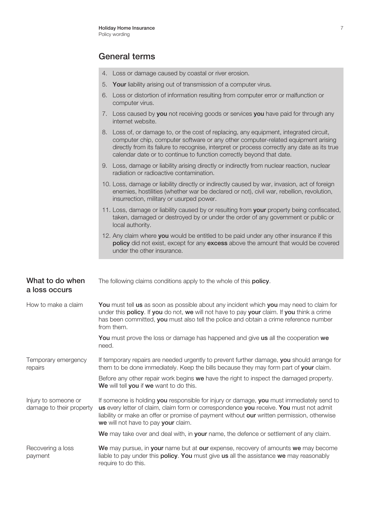|                                                  | 4. Loss or damage caused by coastal or river erosion.                                                                                                                                                                                                                                                                                             |
|--------------------------------------------------|---------------------------------------------------------------------------------------------------------------------------------------------------------------------------------------------------------------------------------------------------------------------------------------------------------------------------------------------------|
|                                                  | Your liability arising out of transmission of a computer virus.<br>5.                                                                                                                                                                                                                                                                             |
|                                                  | Loss or distortion of information resulting from computer error or malfunction or<br>6.<br>computer virus.                                                                                                                                                                                                                                        |
|                                                  | 7. Loss caused by you not receiving goods or services you have paid for through any<br>internet website.                                                                                                                                                                                                                                          |
|                                                  | 8. Loss of, or damage to, or the cost of replacing, any equipment, integrated circuit,<br>computer chip, computer software or any other computer-related equipment arising<br>directly from its failure to recognise, interpret or process correctly any date as its true<br>calendar date or to continue to function correctly beyond that date. |
|                                                  | 9. Loss, damage or liability arising directly or indirectly from nuclear reaction, nuclear<br>radiation or radioactive contamination.                                                                                                                                                                                                             |
|                                                  | 10. Loss, damage or liability directly or indirectly caused by war, invasion, act of foreign<br>enemies, hostilities (whether war be declared or not), civil war, rebellion, revolution,<br>insurrection, military or usurped power.                                                                                                              |
|                                                  | 11. Loss, damage or liability caused by or resulting from your property being confiscated,<br>taken, damaged or destroyed by or under the order of any government or public or<br>local authority.                                                                                                                                                |
|                                                  | 12. Any claim where you would be entitled to be paid under any other insurance if this<br>policy did not exist, except for any excess above the amount that would be covered<br>under the other insurance.                                                                                                                                        |
|                                                  |                                                                                                                                                                                                                                                                                                                                                   |
|                                                  |                                                                                                                                                                                                                                                                                                                                                   |
| What to do when<br>a loss occurs                 | The following claims conditions apply to the whole of this policy.                                                                                                                                                                                                                                                                                |
| How to make a claim                              | You must tell us as soon as possible about any incident which you may need to claim for<br>under this policy. If you do not, we will not have to pay your claim. If you think a crime<br>has been committed, you must also tell the police and obtain a crime reference number<br>from them.                                                      |
|                                                  | You must prove the loss or damage has happened and give us all the cooperation we<br>need.                                                                                                                                                                                                                                                        |
| Temporary emergency<br>repairs                   | If temporary repairs are needed urgently to prevent further damage, you should arrange for<br>them to be done immediately. Keep the bills because they may form part of your claim.                                                                                                                                                               |
|                                                  | Before any other repair work begins we have the right to inspect the damaged property.<br>We will tell you if we want to do this.                                                                                                                                                                                                                 |
| Injury to someone or<br>damage to their property | If someone is holding you responsible for injury or damage, you must immediately send to<br>us every letter of claim, claim form or correspondence you receive. You must not admit<br>liability or make an offer or promise of payment without our written permission, otherwise<br>we will not have to pay your claim.                           |
|                                                  | We may take over and deal with, in your name, the defence or settlement of any claim.                                                                                                                                                                                                                                                             |

Recovering a loss We may pursue, in your name but at our expense, recovery of amounts we may become payment liable to pay under this **policy. You** must give us all the assistance we may reasonably require to do this.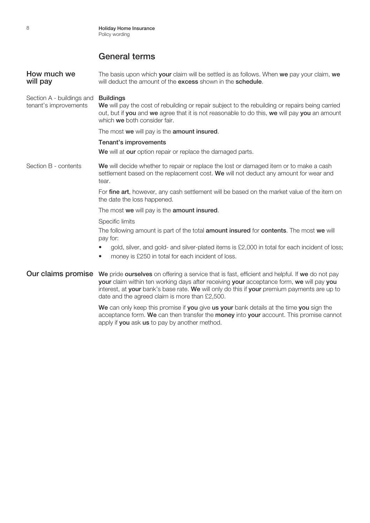**How much we** The basis upon which **your** claim will be settled is as follows. When we pay your claim, we will pay will deduct the amount of the excess shown in the schedule. Section A - buildings and **Buildings** tenant's improvements We will pay the cost of rebuilding or repair subject to the rebuilding or repairs being carried out, but if you and we agree that it is not reasonable to do this, we will pay you an amount which we both consider fair. The most we will pay is the amount insured. Tenant's improvements We will at our option repair or replace the damaged parts. Section B - contents We will decide whether to repair or replace the lost or damaged item or to make a cash settlement based on the replacement cost. We will not deduct any amount for wear and tear. For fine art, however, any cash settlement will be based on the market value of the item on the date the loss happened. The most we will pay is the amount insured. Specific limits The following amount is part of the total amount insured for contents. The most we will pay for: • gold, silver, and gold- and silver-plated items is £2,000 in total for each incident of loss; money is £250 in total for each incident of loss. Our claims promise We pride ourselves on offering a service that is fast, efficient and helpful. If we do not pay your claim within ten working days after receiving your acceptance form, we will pay you interest, at your bank's base rate. We will only do this if your premium payments are up to date and the agreed claim is more than £2,500. We can only keep this promise if you give us your bank details at the time you sign the acceptance form. We can then transfer the money into your account. This promise cannot

apply if you ask us to pay by another method.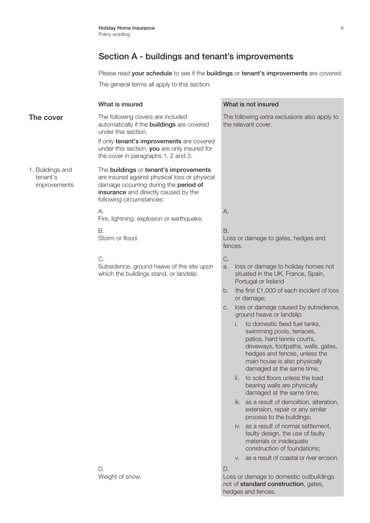Please read your schedule to see if the buildings or tenant's improvements are covered.

The general terms all apply to this section.

|                                              | What is insured                                                                                                                                                                                                                                   | What is not insured                                                                                                                                                                                                                                                                                                                                                                                                                 |
|----------------------------------------------|---------------------------------------------------------------------------------------------------------------------------------------------------------------------------------------------------------------------------------------------------|-------------------------------------------------------------------------------------------------------------------------------------------------------------------------------------------------------------------------------------------------------------------------------------------------------------------------------------------------------------------------------------------------------------------------------------|
| The cover                                    | The following covers are included<br>automatically if the <b>buildings</b> are covered<br>under this section.<br>If only tenant's improvements are covered<br>under this section, you are only insured for<br>the cover in paragraphs 1, 2 and 3. | The following extra exclusions also apply to<br>the relevant cover.                                                                                                                                                                                                                                                                                                                                                                 |
| 1. Buildings and<br>tenant's<br>improvements | The buildings or tenant's improvements<br>are insured against physical loss or physical<br>damage occurring during the period of<br>insurance and directly caused by the<br>following circumstances:                                              |                                                                                                                                                                                                                                                                                                                                                                                                                                     |
|                                              | А.<br>Fire, lightning, explosion or earthquake.                                                                                                                                                                                                   | А.                                                                                                                                                                                                                                                                                                                                                                                                                                  |
|                                              | В.<br>Storm or flood.                                                                                                                                                                                                                             | <b>B.</b><br>Loss or damage to gates, hedges and<br>fences.                                                                                                                                                                                                                                                                                                                                                                         |
|                                              | C.<br>Subsidence, ground heave of the site upon<br>which the buildings stand, or landslip.                                                                                                                                                        | C.<br>loss or damage to holiday homes not<br>a.<br>situated in the UK, France, Spain,<br>Portugal or Ireland<br>the first £1,000 of each incident of loss<br>b.<br>or damage;<br>loss or damage caused by subsidence,<br>C.<br>ground heave or landslip:<br>to domestic fixed fuel tanks,<br>Ι.<br>swimming pools, terraces,<br>patios, hard tennis courts,<br>driveways, footpaths, walls, gates,<br>hedges and fences, unless the |
|                                              |                                                                                                                                                                                                                                                   | main house is also physically<br>damaged at the same time;<br>ii. to solid floors unless the load<br>bearing walls are physically<br>damaged at the same time;<br>iii. as a result of demolition, alteration,<br>extension, repair or any similar<br>process to the buildings;                                                                                                                                                      |
|                                              |                                                                                                                                                                                                                                                   | iv. as a result of normal settlement,<br>faulty design, the use of faulty<br>materials or inadequate<br>construction of foundations;                                                                                                                                                                                                                                                                                                |
|                                              |                                                                                                                                                                                                                                                   | v. as a result of coastal or river erosion.                                                                                                                                                                                                                                                                                                                                                                                         |
|                                              | D.<br>Weight of snow.                                                                                                                                                                                                                             | D.<br>Loss or damage to domestic outbuildings<br>not of standard construction, gates,<br>hedges and fences.                                                                                                                                                                                                                                                                                                                         |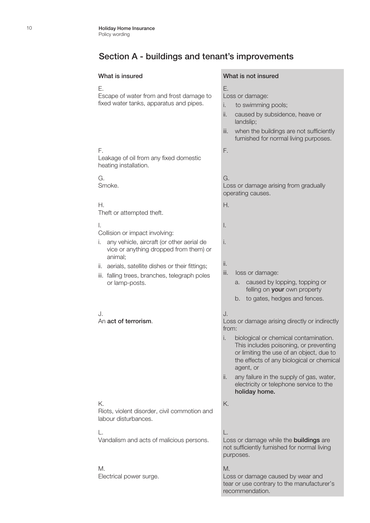#### What is insured What is not insured

#### E.

F.

G. Smoke.

H.

Escape of water from and frost damage to fixed water tanks, apparatus and pipes.

Leakage of oil from any fixed domestic

#### E.

Loss or damage:

- i. to swimming pools;
- ii. caused by subsidence, heave or landslip;
- iii. when the buildings are not sufficiently furnished for normal living purposes.

F.

#### G.

Loss or damage arising from gradually operating causes.

H.

I.

i.

ii.

Theft or attempted theft.

heating installation.

#### I.

Collision or impact involving:

- i. any vehicle, aircraft (or other aerial de vice or anything dropped from them) or animal;
- ii. aerials, satellite dishes or their fittings;
- iii. falling trees, branches, telegraph poles or lamp-posts.

#### J. An act of terrorism.

#### K.

Riots, violent disorder, civil commotion and labour disturbances.

#### L.

Vandalism and acts of malicious persons.

#### M.

Electrical power surge.

#### iii. loss or damage:

- a. caused by lopping, topping or felling on **your** own property
- b. to gates, hedges and fences.

#### J.

Loss or damage arising directly or indirectly from:

- i. biological or chemical contamination. This includes poisoning, or preventing or limiting the use of an object, due to the effects of any biological or chemical agent, or
- ii. any failure in the supply of gas, water, electricity or telephone service to the holiday home.

K.

#### L.

Loss or damage while the **buildings** are not sufficiently furnished for normal living purposes.

#### M.

Loss or damage caused by wear and tear or use contrary to the manufacturer's recommendation.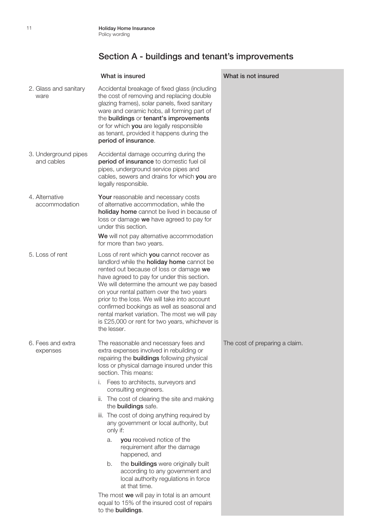|                                    | What is insured                                                                                                                                                                                                                                                                                                                                                                                                                                                                                 | What is not insured            |
|------------------------------------|-------------------------------------------------------------------------------------------------------------------------------------------------------------------------------------------------------------------------------------------------------------------------------------------------------------------------------------------------------------------------------------------------------------------------------------------------------------------------------------------------|--------------------------------|
| 2. Glass and sanitary<br>ware      | Accidental breakage of fixed glass (including<br>the cost of removing and replacing double<br>glazing frames), solar panels, fixed sanitary<br>ware and ceramic hobs, all forming part of<br>the buildings or tenant's improvements<br>or for which you are legally responsible<br>as tenant, provided it happens during the<br>period of insurance.                                                                                                                                            |                                |
| 3. Underground pipes<br>and cables | Accidental damage occurring during the<br>period of insurance to domestic fuel oil<br>pipes, underground service pipes and<br>cables, sewers and drains for which you are<br>legally responsible.                                                                                                                                                                                                                                                                                               |                                |
| 4. Alternative<br>accommodation    | Your reasonable and necessary costs<br>of alternative accommodation, while the<br>holiday home cannot be lived in because of<br>loss or damage we have agreed to pay for<br>under this section.                                                                                                                                                                                                                                                                                                 |                                |
|                                    | We will not pay alternative accommodation<br>for more than two years.                                                                                                                                                                                                                                                                                                                                                                                                                           |                                |
| 5. Loss of rent                    | Loss of rent which you cannot recover as<br>landlord while the <b>holiday home</b> cannot be<br>rented out because of loss or damage we<br>have agreed to pay for under this section.<br>We will determine the amount we pay based<br>on your rental pattern over the two years<br>prior to the loss. We will take into account<br>confirmed bookings as well as seasonal and<br>rental market variation. The most we will pay<br>is £25,000 or rent for two years, whichever is<br>the lesser. |                                |
| 6. Fees and extra<br>expenses      | The reasonable and necessary fees and<br>extra expenses involved in rebuilding or<br>repairing the <b>buildings</b> following physical<br>loss or physical damage insured under this<br>section. This means:                                                                                                                                                                                                                                                                                    | The cost of preparing a claim. |
|                                    | i. Fees to architects, surveyors and<br>consulting engineers.                                                                                                                                                                                                                                                                                                                                                                                                                                   |                                |
|                                    | ii. The cost of clearing the site and making<br>the buildings safe.                                                                                                                                                                                                                                                                                                                                                                                                                             |                                |
|                                    | iii. The cost of doing anything required by<br>any government or local authority, but<br>only if:                                                                                                                                                                                                                                                                                                                                                                                               |                                |
|                                    | you received notice of the<br>a.<br>requirement after the damage<br>happened, and                                                                                                                                                                                                                                                                                                                                                                                                               |                                |
|                                    | the <b>buildings</b> were originally built<br>b.<br>according to any government and<br>local authority regulations in force<br>at that time.                                                                                                                                                                                                                                                                                                                                                    |                                |
|                                    | The most we will pay in total is an amount<br>equal to 15% of the insured cost of repairs<br>to the buildings.                                                                                                                                                                                                                                                                                                                                                                                  |                                |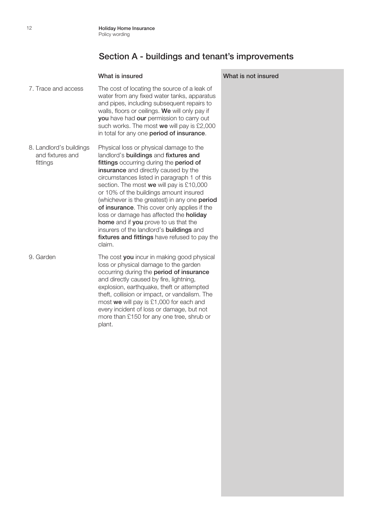#### What is insured What is not insured

7. Trace and access The cost of locating the source of a leak of water from any fixed water tanks, apparatus and pipes, including subsequent repairs to walls, floors or ceilings. We will only pay if you have had our permission to carry out such works. The most we will pay is £2,000 in total for any one period of insurance. 8. Landlord's buildings Physical loss or physical damage to the

 and fixtures and fittings landlord's buildings and fixtures and fittings occurring during the period of insurance and directly caused by the circumstances listed in paragraph 1 of this section. The most we will pay is £10,000 or 10% of the buildings amount insured (whichever is the greatest) in any one period of insurance. This cover only applies if the loss or damage has affected the holiday home and if you prove to us that the insurers of the landlord's buildings and fixtures and fittings have refused to pay the claim.

9. Garden The cost you incur in making good physical loss or physical damage to the garden occurring during the period of insurance and directly caused by fire, lightning, explosion, earthquake, theft or attempted theft, collision or impact, or vandalism. The most we will pay is £1,000 for each and every incident of loss or damage, but not more than £150 for any one tree, shrub or plant.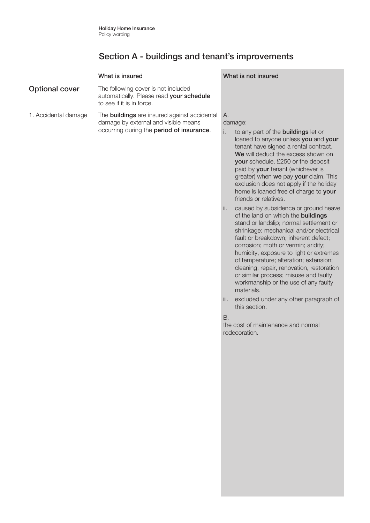|                       | What is insured                                                                                                                          | What is not insured                                                                                 |
|-----------------------|------------------------------------------------------------------------------------------------------------------------------------------|-----------------------------------------------------------------------------------------------------|
| <b>Optional cover</b> | The following cover is not included<br>automatically. Please read your schedule<br>to see if it is in force.                             |                                                                                                     |
| 1. Accidental damage  | The <b>buildings</b> are insured against accidental<br>damage by external and visible means<br>occurring during the period of insurance. | А.<br>damage:<br>to any part of the <b>buildings</b> let or<br>loaned to anyone unless you and your |

home is loaned free of charge to your friends or relatives. ii. caused by subsidence or ground heave of the land on which the buildings stand or landslip; normal settlement or shrinkage: mechanical and/or electrical fault or breakdown; inherent defect; corrosion; moth or vermin; aridity; humidity, exposure to light or extremes of temperature; alteration; extension; cleaning, repair, renovation, restoration or similar process; misuse and faulty workmanship or the use of any faulty materials.

tenant have signed a rental contract. We will deduct the excess shown on your schedule, £250 or the deposit paid by your tenant (whichever is greater) when we pay your claim. This exclusion does not apply if the holiday

iii. excluded under any other paragraph of this section.

B.

the cost of maintenance and normal redecoration.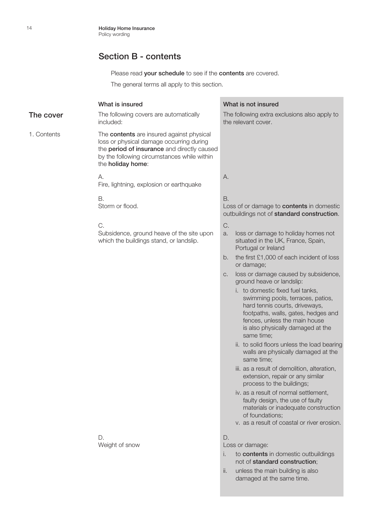Please read **your schedule** to see if the **contents** are covered.

The general terms all apply to this section.

#### What is insured What is not insured **The cover** The following covers are automatically included: The following extra exclusions also apply to the relevant cover. 1. Contents The **contents** are insured against physical loss or physical damage occurring during the **period of insurance** and directly caused by the following circumstances while within the holiday home: A. Fire, lightning, explosion or earthquake A. B. Storm or flood. B. Loss of or damage to **contents** in domestic outbuildings not of standard construction. C. Subsidence, ground heave of the site upon which the buildings stand, or landslip. C. a. loss or damage to holiday homes not situated in the UK, France, Spain, Portugal or Ireland b. the first £1,000 of each incident of loss or damage; c. loss or damage caused by subsidence, ground heave or landslip: i. to domestic fixed fuel tanks, swimming pools, terraces, patios, hard tennis courts, driveways, footpaths, walls, gates, hedges and fences, unless the main house is also physically damaged at the same time; ii. to solid floors unless the load bearing walls are physically damaged at the same time; iii. as a result of demolition, alteration, extension, repair or any similar process to the buildings; iv. as a result of normal settlement, faulty design, the use of faulty materials or inadequate construction of foundations; v. as a result of coastal or river erosion. D. Weight of snow D. Loss or damage:

ii. unless the main building is also damaged at the same time.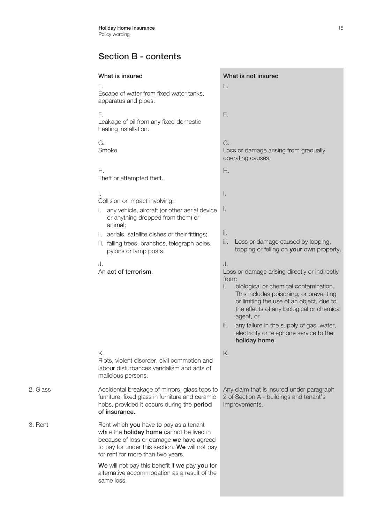|          | What is insured<br>Е.                                                                                                                                                                                                         | What is not insured<br>Ε.                                                                                                                                                                                                                                   |
|----------|-------------------------------------------------------------------------------------------------------------------------------------------------------------------------------------------------------------------------------|-------------------------------------------------------------------------------------------------------------------------------------------------------------------------------------------------------------------------------------------------------------|
|          | Escape of water from fixed water tanks,<br>apparatus and pipes.                                                                                                                                                               |                                                                                                                                                                                                                                                             |
|          | F.<br>Leakage of oil from any fixed domestic<br>heating installation.                                                                                                                                                         | F.                                                                                                                                                                                                                                                          |
|          | G.<br>Smoke.                                                                                                                                                                                                                  | G.<br>Loss or damage arising from gradually<br>operating causes.                                                                                                                                                                                            |
|          | Н.<br>Theft or attempted theft.                                                                                                                                                                                               | Η.                                                                                                                                                                                                                                                          |
|          | I.<br>Collision or impact involving:                                                                                                                                                                                          | I.                                                                                                                                                                                                                                                          |
|          | any vehicle, aircraft (or other aerial device<br>or anything dropped from them) or<br>animal;                                                                                                                                 | I.                                                                                                                                                                                                                                                          |
|          | ii. aerials, satellite dishes or their fittings;<br>iii. falling trees, branches, telegraph poles,<br>pylons or lamp posts.                                                                                                   | ii.<br>iii.<br>Loss or damage caused by lopping,<br>topping or felling on your own property.                                                                                                                                                                |
|          | J.<br>An act of terrorism.                                                                                                                                                                                                    | J.<br>Loss or damage arising directly or indirectly<br>from:<br>i.<br>biological or chemical contamination.<br>This includes poisoning, or preventing<br>or limiting the use of an object, due to<br>the effects of any biological or chemical<br>agent, or |
|          |                                                                                                                                                                                                                               | any failure in the supply of gas, water,<br>ii.<br>electricity or telephone service to the<br>holiday home.                                                                                                                                                 |
|          | Κ.<br>Riots, violent disorder, civil commotion and<br>labour disturbances vandalism and acts of<br>malicious persons.                                                                                                         | K.                                                                                                                                                                                                                                                          |
| 2. Glass | Accidental breakage of mirrors, glass tops to<br>furniture, fixed glass in furniture and ceramic<br>hobs, provided it occurs during the period<br>of insurance.                                                               | Any claim that is insured under paragraph<br>2 of Section A - buildings and tenant's<br>Improvements.                                                                                                                                                       |
| 3. Rent  | Rent which you have to pay as a tenant<br>while the <b>holiday home</b> cannot be lived in<br>because of loss or damage we have agreed<br>to pay for under this section. We will not pay<br>for rent for more than two years. |                                                                                                                                                                                                                                                             |
|          | We will not pay this benefit if we pay you for<br>alternative accommodation as a result of the<br>same loss.                                                                                                                  |                                                                                                                                                                                                                                                             |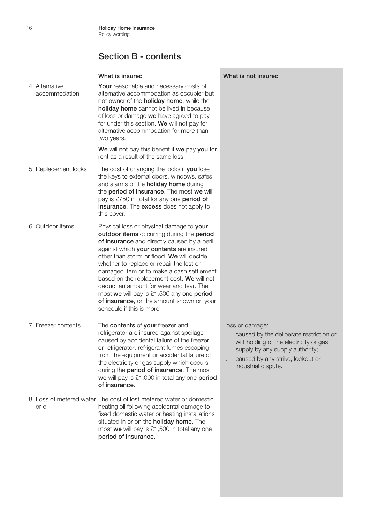| 4. Alternative<br>accommodation | Your reasonable and necessary costs of<br>alternative accommodation as occupier but<br>not owner of the <b>holiday home</b> , while the<br>holiday home cannot be lived in because<br>of loss or damage we have agreed to pay<br>for under this section. We will not pay for<br>alternative accommodation for more than<br>two years.                                                                                                                                                                                                 |
|---------------------------------|---------------------------------------------------------------------------------------------------------------------------------------------------------------------------------------------------------------------------------------------------------------------------------------------------------------------------------------------------------------------------------------------------------------------------------------------------------------------------------------------------------------------------------------|
|                                 | We will not pay this benefit if we pay you for<br>rent as a result of the same loss.                                                                                                                                                                                                                                                                                                                                                                                                                                                  |
| 5. Replacement locks            | The cost of changing the locks if you lose<br>the keys to external doors, windows, safes<br>and alarms of the <b>holiday home</b> during<br>the period of insurance. The most we will<br>pay is £750 in total for any one period of<br>insurance. The excess does not apply to<br>this cover.                                                                                                                                                                                                                                         |
| 6. Outdoor items                | Physical loss or physical damage to your<br>outdoor items occurring during the period<br>of insurance and directly caused by a peril<br>against which your contents are insured<br>other than storm or flood. We will decide<br>whether to replace or repair the lost or<br>damaged item or to make a cash settlement<br>based on the replacement cost. We will not<br>deduct an amount for wear and tear. The<br>most we will pay is £1,500 any one period<br>of insurance, or the amount shown on your<br>schedule if this is more. |
| 7. Freezer contents             | The contents of your freezer and<br>refrigerator are insured against spoilage<br>caused by accidental failure of the freezer<br>or refrigerator, refrigerant fumes escaping<br>from the equipment or accidental failure of<br>the electricity or gas supply which occurs<br>during the <b>period of insurance</b> . The most<br>we will pay is £1,000 in total any one period<br>of insurance.                                                                                                                                        |
| or oil                          | 8. Loss of metered water The cost of lost metered water or domestic<br>heating oil following accidental damage to<br>fixed domestic water or heating installations<br>situated in or on the <b>holiday home</b> . The<br>most we will pay is £1,500 in total any one<br>period of insurance.                                                                                                                                                                                                                                          |

#### What is insured What is not insured

Loss or damage:

- i. caused by the deliberate restriction or withholding of the electricity or gas supply by any supply authority;
- ii. caused by any strike, lockout or industrial dispute.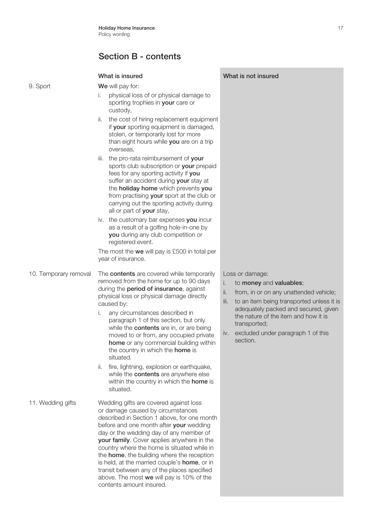#### What is insured What is not insured 9. Sport We will pay for: i. physical loss of or physical damage to sporting trophies in **your** care or custody, ii. the cost of hiring replacement equipment if your sporting equipment is damaged, stolen, or temporarily lost for more than eight hours while you are on a trip overseas, iii. the pro-rata reimbursement of your sports club subscription or your prepaid fees for any sporting activity if you suffer an accident during your stay at the **holiday home** which prevents you from practising your sport at the club or carrying out the sporting activity during all or part of your stay, iv. the customary bar expenses you incur as a result of a golfing hole-in-one by you during any club competition or registered event. The most the we will pay is £500 in total per year of insurance. 10. Temporary removal The contents are covered while temporarily removed from the home for up to 90 days during the period of insurance, against physical loss or physical damage directly caused by: i. any circumstances described in paragraph 1 of this section, but only while the **contents** are in, or are being moved to or from, any occupied private home or any commercial building within the country in which the **home** is situated. ii. fire, lightning, explosion or earthquake, while the **contents** are anywhere else within the country in which the **home** is situated. Loss or damage: i. to money and valuables; ii. from, in or on any unattended vehicle; iii. to an item being transported unless it is adequately packed and secured, given the nature of the item and how it is transported; iv. excluded under paragraph 1 of this section. 11. Wedding gifts Wedding gifts are covered against loss or damage caused by circumstances described in Section 1 above, for one month before and one month after **your** wedding day or the wedding day of any member of your family. Cover applies anywhere in the country where the home is situated while in the **home**, the building where the reception is held, at the married couple's **home**, or in transit between any of the places specified

above. The most we will pay is 10% of the

contents amount insured.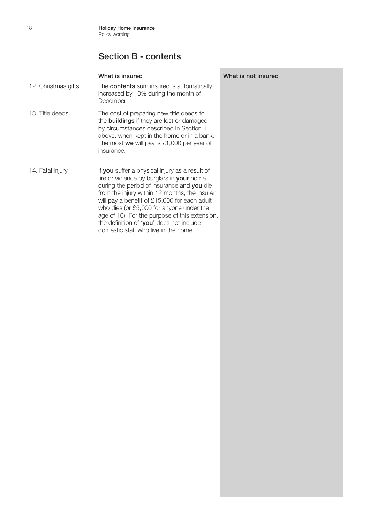|                     | What is insured                                                                                                                                                                                                                                                                                                                                                                                                              | What is not |
|---------------------|------------------------------------------------------------------------------------------------------------------------------------------------------------------------------------------------------------------------------------------------------------------------------------------------------------------------------------------------------------------------------------------------------------------------------|-------------|
| 12. Christmas gifts | The <b>contents</b> sum insured is automatically<br>increased by 10% during the month of<br>December                                                                                                                                                                                                                                                                                                                         |             |
| 13. Title deeds     | The cost of preparing new title deeds to<br>the <b>buildings</b> if they are lost or damaged<br>by circumstances described in Section 1<br>above, when kept in the home or in a bank.<br>The most we will pay is $£1,000$ per year of<br>insurance.                                                                                                                                                                          |             |
| 14. Fatal injury    | If you suffer a physical injury as a result of<br>fire or violence by burglars in your home<br>during the period of insurance and you die<br>from the injury within 12 months, the insurer<br>will pay a benefit of £15,000 for each adult<br>who dies (or £5,000 for anyone under the<br>age of 16). For the purpose of this extension,<br>the definition of 'you' does not include<br>domestic staff who live in the home. |             |

insured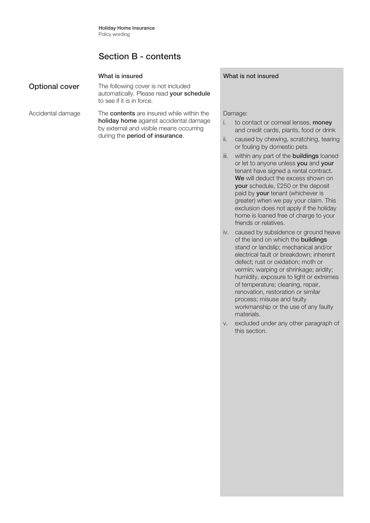| <b>Optional cover</b> | The following cover is not included<br>automatically. Please read your schedule<br>to see if it is in force.                                                             |
|-----------------------|--------------------------------------------------------------------------------------------------------------------------------------------------------------------------|
| Accidental damage     | The <b>contents</b> are insured while within the<br>holiday home against accidental damage<br>by external and visible means occurring<br>during the period of insurance. |

#### What is insured What is not insured

#### Damage:

- i. to contact or corneal lenses, money and credit cards, plants, food or drink
- ii. caused by chewing, scratching, tearing or fouling by domestic pets
- iii. within any part of the **buildings** loaned or let to anyone unless you and your tenant have signed a rental contract. We will deduct the excess shown on your schedule, £250 or the deposit paid by your tenant (whichever is greater) when we pay your claim. This exclusion does not apply if the holiday home is loaned free of charge to your friends or relatives.
- iv. caused by subsidence or ground heave of the land on which the buildings stand or landslip; mechanical and/or electrical fault or breakdown; inherent defect; rust or oxidation; moth or vermin; warping or shrinkage; aridity; humidity, exposure to light or extremes of temperature; cleaning, repair, renovation, restoration or similar process; misuse and faulty workmanship or the use of any faulty materials.
- v. excluded under any other paragraph of this section.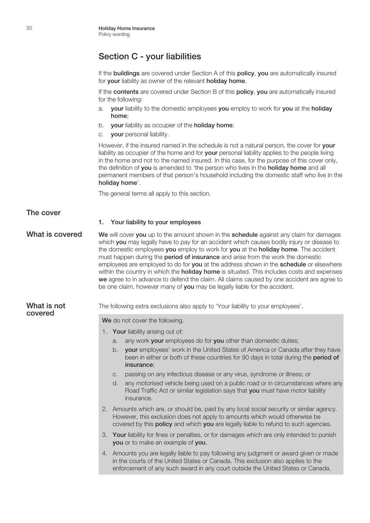## Section C - your liabilities

If the **buildings** are covered under Section A of this **policy, you** are automatically insured for **your** liability as owner of the relevant **holiday home**.

If the contents are covered under Section B of this policy, you are automatically insured for the following:

- a. your liability to the domestic employees you employ to work for you at the holiday home;
- b. your liability as occupier of the holiday home;
- c. your personal liability.

However, if the insured named in the schedule is not a natural person, the cover for your liability as occupier of the home and for your personal liability applies to the people living in the home and not to the named insured. In this case, for the purpose of this cover only, the definition of you is amended to 'the person who lives in the **holiday home** and all permanent members of that person's household including the domestic staff who live in the holiday home'.

The general terms all apply to this section.

#### The cover

#### 1. Your liability to your employees

What is covered We will cover you up to the amount shown in the schedule against any claim for damages which **vou** may legally have to pay for an accident which causes bodily injury or disease to the domestic employees **you** employ to work for **you** at the **holiday home**. The accident must happen during the **period of insurance** and arise from the work the domestic employees are employed to do for **you** at the address shown in the **schedule** or elsewhere within the country in which the **holiday home** is situated. This includes costs and expenses we agree to in advance to defend the claim. All claims caused by one accident are agree to be one claim, however many of you may be legally liable for the accident.

# covered

What is not The following extra exclusions also apply to 'Your liability to your employees'.

We do not cover the following.

- 1. Your liability arising out of:
	- a. any work your employees do for you other than domestic duties;
	- b. your employees' work in the United States of America or Canada after they have been in either or both of these countries for 90 days in total during the period of insurance;
	- c. passing on any infectious disease or any virus, syndrome or illness; or
	- d. any motorised vehicle being used on a public road or in circumstances where any Road Traffic Act or similar legislation says that you must have motor liability insurance.
- 2. Amounts which are, or should be, paid by any local social security or similar agency. However, this exclusion does not apply to amounts which would otherwise be covered by this **policy** and which you are legally liable to refund to such agencies.
- 3. Your liability for fines or penalties, or for damages which are only intended to punish you or to make an example of you.
- 4. Amounts you are legally liable to pay following any judgment or award given or made in the courts of the United States or Canada. This exclusion also applies to the enforcement of any such award in any court outside the United States or Canada.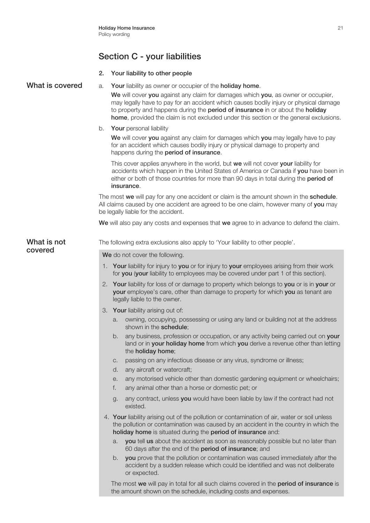# Section C - your liabilities

|  | Your liability to other people |  |
|--|--------------------------------|--|
|--|--------------------------------|--|

| What is covered        | Your liability as owner or occupier of the holiday home.<br>a.                                                                                                                                                                                                                                                                                        |
|------------------------|-------------------------------------------------------------------------------------------------------------------------------------------------------------------------------------------------------------------------------------------------------------------------------------------------------------------------------------------------------|
|                        | We will cover you against any claim for damages which you, as owner or occupier,<br>may legally have to pay for an accident which causes bodily injury or physical damage<br>to property and happens during the period of insurance in or about the holiday<br>home, provided the claim is not excluded under this section or the general exclusions. |
|                        | Your personal liability<br>b.                                                                                                                                                                                                                                                                                                                         |
|                        | We will cover you against any claim for damages which you may legally have to pay<br>for an accident which causes bodily injury or physical damage to property and<br>happens during the period of insurance.                                                                                                                                         |
|                        | This cover applies anywhere in the world, but we will not cover your liability for<br>accidents which happen in the United States of America or Canada if you have been in<br>either or both of those countries for more than 90 days in total during the period of<br>insurance.                                                                     |
|                        | The most we will pay for any one accident or claim is the amount shown in the schedule.<br>All claims caused by one accident are agreed to be one claim, however many of you may<br>be legally liable for the accident.                                                                                                                               |
|                        | We will also pay any costs and expenses that we agree to in advance to defend the claim.                                                                                                                                                                                                                                                              |
| What is not<br>covered | The following extra exclusions also apply to 'Your liability to other people'.                                                                                                                                                                                                                                                                        |
|                        | We do not cover the following.                                                                                                                                                                                                                                                                                                                        |
|                        | 1. Your liability for injury to you or for injury to your employees arising from their work<br>for you (your liability to employees may be covered under part 1 of this section).                                                                                                                                                                     |
|                        | 2. Your liability for loss of or damage to property which belongs to you or is in your or<br>your employee's care, other than damage to property for which you as tenant are<br>legally liable to the owner.                                                                                                                                          |
|                        | 3. Your liability arising out of:                                                                                                                                                                                                                                                                                                                     |
|                        | owning, occupying, possessing or using any land or building not at the address<br>a.<br>shown in the schedule;                                                                                                                                                                                                                                        |
|                        | any business, profession or occupation, or any activity being carried out on your<br>b.<br>land or in your holiday home from which you derive a revenue other than letting<br>the holiday home;                                                                                                                                                       |
|                        | passing on any infectious disease or any virus, syndrome or illness;<br>C.<br>any aircraft or watercraft;<br>d.                                                                                                                                                                                                                                       |
|                        | any motorised vehicle other than domestic gardening equipment or wheelchairs;<br>е.<br>any animal other than a horse or domestic pet; or<br>f.                                                                                                                                                                                                        |
|                        | any contract, unless you would have been liable by law if the contract had not<br>g.<br>existed.                                                                                                                                                                                                                                                      |
|                        | 4. Your liability arising out of the pollution or contamination of air, water or soil unless<br>the pollution or contamination was caused by an accident in the country in which the<br>holiday home is situated during the period of insurance and:                                                                                                  |
|                        | you tell us about the accident as soon as reasonably possible but no later than<br>a.<br>60 days after the end of the period of insurance; and                                                                                                                                                                                                        |
|                        | you prove that the pollution or contamination was caused immediately after the<br>b.<br>accident by a sudden release which could be identified and was not deliberate<br>or expected.                                                                                                                                                                 |
|                        | The most we will pay in total for all such claims covered in the period of insurance is<br>the amount shown on the schedule, including costs and expenses.                                                                                                                                                                                            |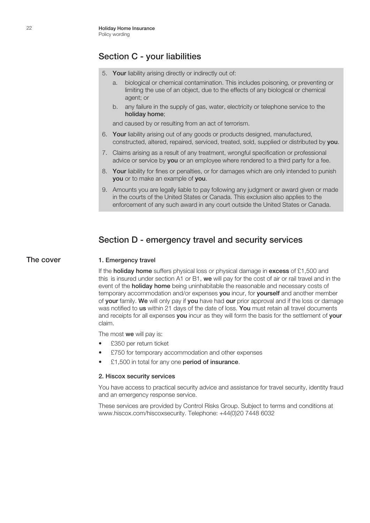## Section C - your liabilities

- 5. Your liability arising directly or indirectly out of:
	- a. biological or chemical contamination. This includes poisoning, or preventing or limiting the use of an object, due to the effects of any biological or chemical agent; or
	- b. any failure in the supply of gas, water, electricity or telephone service to the holiday home;

and caused by or resulting from an act of terrorism.

- 6. Your liability arising out of any goods or products designed, manufactured, constructed, altered, repaired, serviced, treated, sold, supplied or distributed by you.
- 7. Claims arising as a result of any treatment, wrongful specification or professional advice or service by **you** or an employee where rendered to a third party for a fee.
- 8. Your liability for fines or penalties, or for damages which are only intended to punish you or to make an example of you.
- 9. Amounts you are legally liable to pay following any judgment or award given or made in the courts of the United States or Canada. This exclusion also applies to the enforcement of any such award in any court outside the United States or Canada.

## Section D - emergency travel and security services

#### The cover 1. Emergency travel

If the **holiday home** suffers physical loss or physical damage in **excess** of £1,500 and this is insured under section A1 or B1, we will pay for the cost of air or rail travel and in the event of the **holiday home** being uninhabitable the reasonable and necessary costs of temporary accommodation and/or expenses you incur, for yourself and another member of your family. We will only pay if you have had our prior approval and if the loss or damage was notified to us within 21 days of the date of loss. You must retain all travel documents and receipts for all expenses you incur as they will form the basis for the settlement of your claim.

The most we will pay is:

- £350 per return ticket
- £750 for temporary accommodation and other expenses
- £1,500 in total for any one period of insurance.

#### 2. Hiscox security services

You have access to practical security advice and assistance for travel security, identity fraud and an emergency response service.

These services are provided by Control Risks Group. Subject to terms and conditions at www.hiscox.com/hiscoxsecurity. Telephone: +44(0)20 7448 6032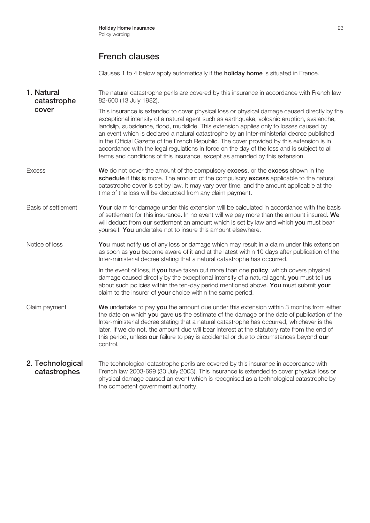## French clauses

Clauses 1 to 4 below apply automatically if the **holiday home** is situated in France.

**1. Natural** The natural catastrophe perils are covered by this insurance in accordance with French law 82-600 (13 July 1982). This insurance is extended to cover physical loss or physical damage caused directly by the exceptional intensity of a natural agent such as earthquake, volcanic eruption, avalanche, landslip, subsidence, flood, mudslide. This extension applies only to losses caused by an event which is declared a natural catastrophe by an Inter-ministerial decree published in the Official Gazette of the French Republic. The cover provided by this extension is in accordance with the legal regulations in force on the day of the loss and is subject to all terms and conditions of this insurance, except as amended by this extension. Excess **We** do not cover the amount of the compulsory **excess**, or the **excess** shown in the schedule if this is more. The amount of the compulsory excess applicable to the natural catastrophe cover is set by law. It may vary over time, and the amount applicable at the time of the loss will be deducted from any claim payment. Basis of settlement Your claim for damage under this extension will be calculated in accordance with the basis of settlement for this insurance. In no event will we pay more than the amount insured. We will deduct from our settlement an amount which is set by law and which you must bear yourself. You undertake not to insure this amount elsewhere. Notice of loss You must notify us of any loss or damage which may result in a claim under this extension as soon as you become aware of it and at the latest within 10 days after publication of the Inter-ministerial decree stating that a natural catastrophe has occurred. In the event of loss, if you have taken out more than one policy, which covers physical damage caused directly by the exceptional intensity of a natural agent, you must tell us about such policies within the ten-day period mentioned above. You must submit your claim to the insurer of your choice within the same period. Claim payment We undertake to pay you the amount due under this extension within 3 months from either the date on which you gave us the estimate of the damage or the date of publication of the Inter-ministerial decree stating that a natural catastrophe has occurred, whichever is the later. If we do not, the amount due will bear interest at the statutory rate from the end of this period, unless our failure to pay is accidental or due to circumstances beyond our control. 2. Technological The technological catastrophe perils are covered by this insurance in accordance with French law 2003-699 (30 July 2003). This insurance is extended to cover physical loss or physical damage caused an event which is recognised as a technological catastrophe by catastrophe cover catastrophes

the competent government authority.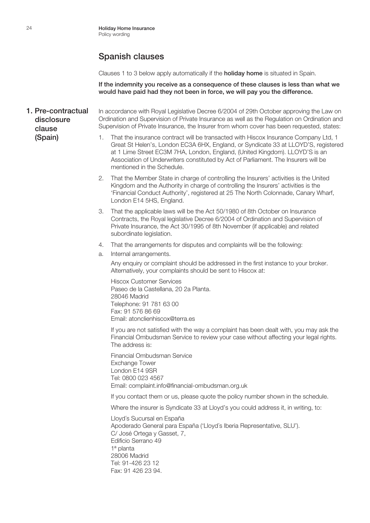Clauses 1 to 3 below apply automatically if the **holiday home** is situated in Spain.

If the indemnity you receive as a consequence of these clauses is less than what we would have paid had they not been in force, we will pay you the difference.

- 1. Pre-contractual In accordance with Royal Legislative Decree 6/2004 of 29th October approving the Law on Ordination and Supervision of Private Insurance as well as the Regulation on Ordination and Supervision of Private Insurance, the Insurer from whom cover has been requested, states: disclosure clause
	- (Spain)
- 1. That the insurance contract will be transacted with Hiscox Insurance Company Ltd, 1 Great St Helen's, London EC3A 6HX, England, or Syndicate 33 at LLOYD'S, registered at 1 Lime Street EC3M 7HA, London, England, (United Kingdom). LLOYD'S is an Association of Underwriters constituted by Act of Parliament. The Insurers will be mentioned in the Schedule. 2. That the Member State in charge of controlling the Insurers' activities is the United Kingdom and the Authority in charge of controlling the Insurers' activities is the 'Financial Conduct Authority', registered at 25 The North Colonnade, Canary Wharf, London E14 5HS, England. 3. That the applicable laws will be the Act 50/1980 of 8th October on Insurance Contracts, the Royal legislative Decree 6/2004 of Ordination and Supervision of Private Insurance, the Act 30/1995 of 8th November (if applicable) and related subordinate legislation. 4. That the arrangements for disputes and complaints will be the following: a. Internal arrangements. Any enquiry or complaint should be addressed in the first instance to your broker. Alternatively, your complaints should be sent to Hiscox at: Hiscox Customer Services Paseo de la Castellana, 20 2a Planta. 28046 Madrid Telephone: 91 781 63 00 Fax: 91 576 86 69 Email: atonclienhiscox@terra.es If you are not satisfied with the way a complaint has been dealt with, you may ask the Financial Ombudsman Service to review your case without affecting your legal rights. The address is: Financial Ombudsman Service Exchange Tower London E14 9SR Tel: 0800 023 4567 Email: complaint.info@financial-ombudsman.org.uk If you contact them or us, please quote the policy number shown in the schedule. Where the insurer is Syndicate 33 at Lloyd's you could address it, in writing, to: Lloyd´s Sucursal en España Apoderado General para España ('Lloyd´s Iberia Representative, SLU').

C/ José Ortega y Gasset, 7, Edificio Serrano 49 1ª planta 28006 Madrid Tel: 91-426 23 12 Fax: 91 426 23 94.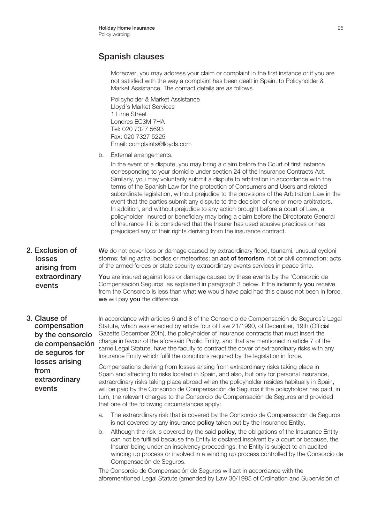Moreover, you may address your claim or complaint in the first instance or if you are not satisfied with the way a complaint has been dealt in Spain, to Policyholder & Market Assistance. The contact details are as follows.

Policyholder & Market Assistance Lloyd's Market Services 1 Lime Street Londres EC3M 7HA Tel: 020 7327 5693 Fax: 020 7327 5225 Email: complaints@lloyds.com

b. External arrangements.

we will pay you the difference.

In the event of a dispute, you may bring a claim before the Court of first instance corresponding to your domicile under section 24 of the Insurance Contracts Act. Similarly, you may voluntarily submit a dispute to arbitration in accordance with the terms of the Spanish Law for the protection of Consumers and Users and related subordinate legislation, without prejudice to the provisions of the Arbitration Law in the event that the parties submit any dispute to the decision of one or more arbitrators. In addition, and without prejudice to any action brought before a court of Law, a policyholder, insured or beneficiary may bring a claim before the Directorate General of Insurance if it is considered that the Insurer has used abusive practices or has prejudiced any of their rights deriving from the insurance contract.

- 2. Exclusion of We do not cover loss or damage caused by extraordinary flood, tsunami, unusual cycloni storms; falling astral bodies or meteorites; an **act of terrorism**, riot or civil commotion; acts of the armed forces or state security extraordinary events services in peace time. You are insured against loss or damage caused by these events by the 'Consorcio de Compensación Seguros' as explained in paragraph 3 below. If the indemnity you receive from the Consorcio is less than what we would have paid had this clause not been in force, losses arising from extraordinary events
- compensation by the consorcio de compensación de seguros for losses arising from extraordinary events

**3. Clause of** In accordance with articles 6 and 8 of the Consorcio de Compensación de Seguros's Legal Statute, which was enacted by article four of Law 21/1990, of December, 19th (Official Gazette December 20th), the policyholder of insurance contracts that must insert the charge in favour of the aforesaid Public Entity, and that are mentioned in article 7 of the same Legal Statute, have the faculty to contract the cover of extraordinary risks with any Insurance Entity which fulfil the conditions required by the legislation in force.

> Compensations deriving from losses arising from extraordinary risks taking place in Spain and affecting to risks located in Spain, and also, but only for personal insurance, extraordinary risks taking place abroad when the policyholder resides habitually in Spain, will be paid by the Consorcio de Compensación de Seguros if the policyholder has paid, in turn, the relevant charges to the Consorcio de Compensación de Seguros and provided that one of the following circumstances apply:

- a. The extraordinary risk that is covered by the Consorcio de Compensación de Seguros is not covered by any insurance **policy** taken out by the Insurance Entity.
- b. Although the risk is covered by the said **policy**, the obligations of the Insurance Entity can not be fulfilled because the Entity is declared insolvent by a court or because, the Insurer being under an insolvency proceedings, the Entity is subject to an audited winding up process or involved in a winding up process controlled by the Consorcio de Compensación de Seguros.

The Consorcio de Compensación de Seguros will act in accordance with the aforementioned Legal Statute (amended by Law 30/1995 of Ordination and Supervisión of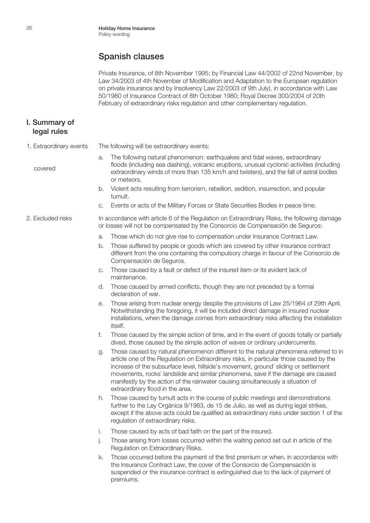Private Insurance, of 8th November 1995; by Financial Law 44/2002 of 22nd November, by Law 34/2003 of 4th November of Modification and Adaptation to the European regulation on private insurance and by Insolvency Law 22/2003 of 9th July), in accordance with Law 50/1980 of Insurance Contract of 8th October 1980; Royal Decree 300/2004 of 20th February of extraordinary risks regulation and other complementary regulation.

#### I. Summary of legal rules

covered

- 1. Extraordinary events The following will be extraordinary events:
	- a. The following natural phenomenon: earthquakes and tidal waves, extraordinary floods (including sea dashing), volcanic eruptions, unusual cyclonic activities (including extraordinary winds of more than 135 km/h and twisters), and the fall of astral bodies or meteors.
	- b. Violent acts resulting from terrorism, rebellion, sedition, insurrection, and popular tumult.
	- c. Events or acts of the Military Forces or State Securities Bodies in peace time.
- 2. Excluded risks In accordance with article 6 of the Regulation on Extraordinary Risks, the following damage or losses will not be compensated by the Consorcio de Compensación de Seguros:
	- a. Those which do not give rise to compensation under Insurance Contract Law.
	- b. Those suffered by people or goods which are covered by other insurance contract different from the one containing the compulsory charge in favour of the Consorcio de Compensación de Seguros.
	- c. Those caused by a fault or defect of the insured item or its evident lack of maintenance.
	- d. Those caused by armed conflicts, though they are not preceded by a formal declaration of war.
	- e. Those arising from nuclear energy despite the provisions of Law 25/1964 of 29th April. Notwithstanding the foregoing, it will be included direct damage in insured nuclear installations, when the damage comes from extraordinary risks affecting the installation itself.
	- f. Those caused by the simple action of time, and in the event of goods totally or partially dived, those caused by the simple action of waves or ordinary undercurrents.
	- g. Those caused by natural phenomenon different to the natural phenomena referred to in article one of the Regulation on Extraordinary risks, in particular those caused by the increase of the subsurface level, hillside's movement, ground´ sliding or settlement movements, rocks´ landslide and similar phenomena, save if the damage are caused manifestly by the action of the rainwater causing simultaneously a situation of extraordinary flood in the area.
	- h. Those caused by tumult acts in the course of public meetings and demonstrations further to the Ley Orgánica 9/1983, de 15 de Julio, as well as during legal strikes, except if the above acts could be qualified as extraordinary risks under section 1 of the regulation of extraordinary risks.
	- i. Those caused by acts of bad faith on the part of the insured.
	- j. Those arising from losses occurred within the waiting period set out in article of the Regulation on Extraordinary Risks.
	- k. Those occurred before the payment of the first premium or when, in accordance with the Insurance Contract Law, the cover of the Consorcio de Compensación is suspended or the insurance contract is extinguished due to the lack of payment of premiums.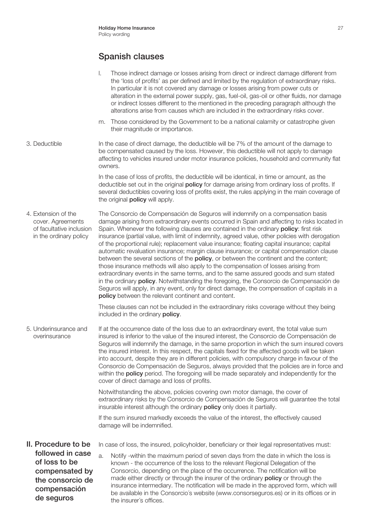- l. Those indirect damage or losses arising from direct or indirect damage different from the 'loss of profits' as per defined and limited by the regulation of extraordinary risks. In particular it is not covered any damage or losses arising from power cuts or alteration in the external power supply, gas, fuel-oil, gas-oil or other fluids, nor damage or indirect losses different to the mentioned in the preceding paragraph although the alterations arise from causes which are included in the extraordinary risks cover.
- m. Those considered by the Government to be a national calamity or catastrophe given their magnitude or importance.
- 3. Deductible In the case of direct damage, the deductible will be 7% of the amount of the damage to be compensated caused by the loss. However, this deductible will not apply to damage affecting to vehicles insured under motor insurance policies, household and community flat owners.

In the case of loss of profits, the deductible will be identical, in time or amount, as the deductible set out in the original **policy** for damage arising from ordinary loss of profits. If several deductibles covering loss of profits exist, the rules applying in the main coverage of the original **policy** will apply.

4. Extension of the The Consorcio de Compensación de Seguros will indemnify on a compensation basis cover. Agreements damage arising from extraordinary events occurred in Spain and affecting to risks located in of facultative inclusion Spain. Whenever the following clauses are contained in the ordinary policy: first risk in the ordinary policy insurance (partial value, with limit of indemnity, agreed value, other policies with derogation of the proportional rule); replacement value insurance; floating capital insurance; capital automatic revaluation insurance; margin clause insurance; or capital compensation clause between the several sections of the **policy**, or between the continent and the content; those insurance methods will also apply to the compensation of losses arising from extraordinary events in the same terms, and to the same assured goods and sum stated in the ordinary **policy**. Notwithstanding the foregoing, the Consorcio de Compensación de Seguros will apply, in any event, only for direct damage, the compensation of capitals in a policy between the relevant continent and content.

> These clauses can not be included in the extraordinary risks coverage without they being included in the ordinary **policy**.

5. Underinsurance and If at the occurrence date of the loss due to an extraordinary event, the total value sum overinsurance insured is inferior to the value of the insured interest, the Consorcio de Compensación de Seguros will indemnify the damage, in the same proportion in which the sum insured covers the insured interest. In this respect, the capitals fixed for the affected goods will be taken into account, despite they are in different policies, with compulsory charge in favour of the Consorcio de Compensación de Seguros, always provided that the policies are in force and within the **policy** period. The foregoing will be made separately and independently for the cover of direct damage and loss of profits.

> Notwithstanding the above, policies covering own motor damage, the cover of extraordinary risks by the Consorcio de Compensación de Seguros will guarantee the total insurable interest although the ordinary **policy** only does it partially.

If the sum insured markedly exceeds the value of the interest, the effectively caused damage will be indemnified.

II. Procedure to be In case of loss, the insured, policyholder, beneficiary or their legal representatives must:

a. Notify -within the maximum period of seven days from the date in which the loss is known - the occurrence of the loss to the relevant Regional Delegation of the Consorcio, depending on the place of the occurrence. The notification will be made either directly or through the insurer of the ordinary **policy** or through the insurance intermediary. The notification will be made in the approved form, which will be available in the Consorcio´s website (www.consorseguros.es) or in its offices or in the insurer´s offices. followed in case of loss to be compensated by the consorcio de compensación de seguros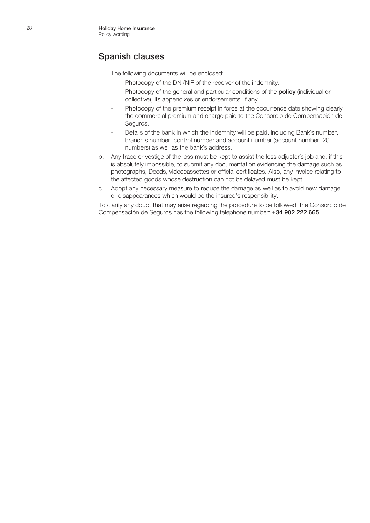The following documents will be enclosed:

- Photocopy of the DNI/NIF of the receiver of the indemnity.
- Photocopy of the general and particular conditions of the **policy** (individual or collective), its appendixes or endorsements, if any.
- Photocopy of the premium receipt in force at the occurrence date showing clearly the commercial premium and charge paid to the Consorcio de Compensación de Seguros.
- Details of the bank in which the indemnity will be paid, including Bank's number, branch´s number, control number and account number (account number, 20 numbers) as well as the bank´s address.
- b. Any trace or vestige of the loss must be kept to assist the loss adjuster´s job and, if this is absolutely impossible, to submit any documentation evidencing the damage such as photographs, Deeds, videocassettes or official certificates. Also, any invoice relating to the affected goods whose destruction can not be delayed must be kept.
- c. Adopt any necessary measure to reduce the damage as well as to avoid new damage or disappearances which would be the insured's responsibility.

To clarify any doubt that may arise regarding the procedure to be followed, the Consorcio de Compensación de Seguros has the following telephone number: +34 902 222 665.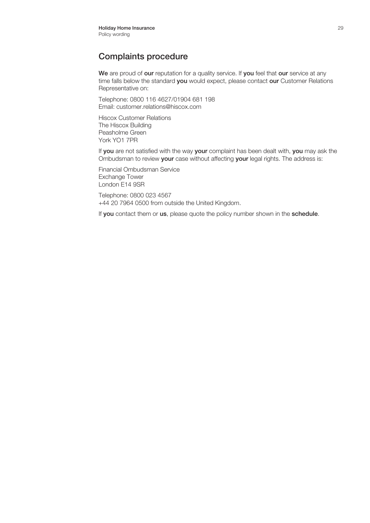## Complaints procedure

We are proud of our reputation for a quality service. If you feel that our service at any time falls below the standard you would expect, please contact our Customer Relations Representative on:

Telephone: 0800 116 4627/01904 681 198 Email: customer.relations@hiscox.com

Hiscox Customer Relations The Hiscox Building Peasholme Green York YO1 7PR

If you are not satisfied with the way your complaint has been dealt with, you may ask the Ombudsman to review your case without affecting your legal rights. The address is:

Financial Ombudsman Service Exchange Tower London E14 9SR

Telephone: 0800 023 4567 +44 20 7964 0500 from outside the United Kingdom.

If you contact them or us, please quote the policy number shown in the schedule.